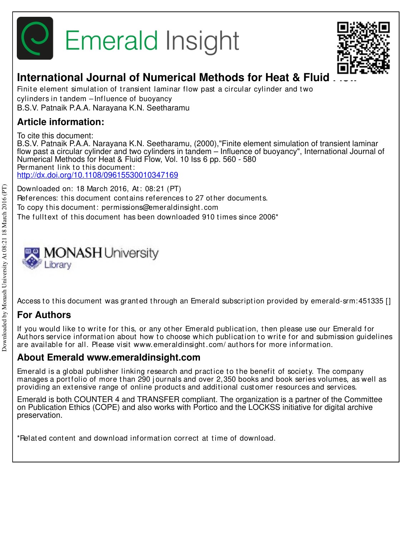



# **International Journal of Numerical Methods for Heat & Fluid**

Finite element simulation of transient laminar flow past a circular cylinder and two cylinders in t andem – Influence of buoyancy B.S.V. Patnaik P.A.A. Narayana K.N. Seetharamu

## **Article information:**

To cite this document: B.S.V. Patnaik P.A.A. Narayana K.N. Seetharamu, (2000),"Finite element simulation of transient laminar flow past a circular cylinder and two cylinders in tandem – Influence of buoyancy", International Journal of Numerical Methods for Heat & Fluid Flow, Vol. 10 Iss 6 pp. 560 - 580 Permanent link to this document: http://dx.doi.org/10.1108/09615530010347169

Downloaded on: 18 March 2016, At : 08:21 (PT) References: this document contains references to 27 other documents. To copy t his document : permissions@emeraldinsight .com The fulltext of this document has been downloaded 910 times since 2006<sup>\*</sup>

# **XXX MONASH University** Library

Access to this document was granted through an Emerald subscription provided by emerald-srm: 451335 []

## **For Authors**

If you would like to write for this, or any other Emerald publication, then please use our Emerald for Authors service information about how to choose which publication to write for and submission guidelines are available for all. Please visit www.emeraldinsight .com/ aut hors for more informat ion.

### **About Emerald www.emeraldinsight.com**

Emerald is a global publisher linking research and practice to the benefit of society. The company manages a portfolio of more than 290 journals and over 2,350 books and book series volumes, as well as providing an extensive range of online products and additional customer resources and services.

Emerald is both COUNTER 4 and TRANSFER compliant. The organization is a partner of the Committee on Publication Ethics (COPE) and also works with Portico and the LOCKSS initiative for digital archive preservation.

\*Relat ed cont ent and download informat ion correct at t ime of download.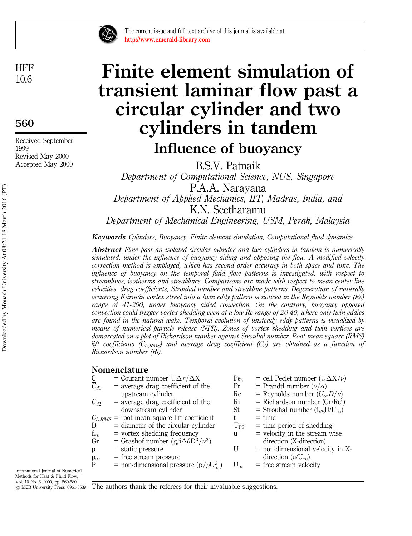

The current issue and full text archive of this journal is available at http://www.emerald-library.com

**HFF** 10,6

560

Received September 1999 Revised May 2000 Accepted May 2000

# Finite element simulation of transient laminar flow past a circular cylinder and two cylinders in tandem Influence of buoyancy

B.S.V. Patnaik Department of Computational Science, NUS, Singapore P.A.A. Narayana Department of Applied Mechanics, IIT, Madras, India, and K.N. Seetharamu Department of Mechanical Engineering, USM, Perak, Malaysia

Keywords Cylinders, Buoyancy, Finite element simulation, Computational fluid dynamics

Abstract Flow past an isolated circular cylinder and two cylinders in tandem is numerically simulated, under the influence of buoyancy aiding and opposing the flow. A modified velocity correction method is employed, which has second order accuracy in both space and time. The influence of buoyancy on the temporal fluid flow patterns is investigated, with respect to streamlines, isotherms and streaklines. Comparisons are made with respect to mean center line velocities, drag coefficients, Strouhal number and streakline patterns. Degeneration of naturally occurring Kármán vortex street into a twin eddy pattern is noticed in the Reynolds number (Re) range of 41-200, under buoyancy aided convection. On the contrary, buoyancy opposed convection could trigger vortex shedding even at a low Re range of 20-40, where only twin eddies are found in the natural wake. Temporal evolution of unsteady eddy patterns is visualized by means of numerical particle release (NPR). Zones of vortex shedding and twin vortices are demarcated on a plot of Richardson number against Strouhal number. Root mean square (RMS) lift coefficients (C<sub>LRMS</sub>) and average drag coefficient ( $\overline{C_d}$ ) are obtained as a function of Richardson number (Ri).

#### Nomenclature

|                                  | = Courant number $U\Delta\tau/\Delta X$            | Pe <sub>c</sub> | $=$ cell Peclet number (U $\Delta$ X/ $\nu$ ) |
|----------------------------------|----------------------------------------------------|-----------------|-----------------------------------------------|
| $\frac{\text{C}}{\text{C}_{d1}}$ | $=$ average drag coefficient of the                | Pr              | = Prandtl number $(\nu/\alpha)$               |
|                                  | upstream cylinder                                  | Re              | = Reynolds number $(U_{\infty}D/\nu)$         |
| $\overline{C}_{d2}$              | $=$ average drag coefficient of the                | Ri              | = Richardson number $(Gr/Re^2)$               |
|                                  | downstream cylinder                                | St              | = Strouhal number $(f_{VS}D/U_{\infty})$      |
|                                  | $C_{L,RMS}$ = root mean square lift coefficient    |                 | $=$ time                                      |
| D                                | $=$ diameter of the circular cylinder              | $T_{PS}$        | $=$ time period of shedding                   |
| $f_{\rm vs}$                     | $=$ vortex shedding frequency                      | 11              | $=$ velocity in the stream wise               |
| Gr                               | = Grashof number $(g\beta\Delta\theta D^3/\nu^2)$  |                 | direction (X-direction)                       |
| p                                | $=$ static pressure                                |                 | $=$ non-dimensional velocity in X-            |
|                                  | $=$ free stream pressure                           |                 | direction (u/ $U_{\infty}$ )                  |
| $_{\rm P}^{\rm p_{\infty}}$      | = non-dimensional pressure $(p/\rho U_{\infty}^2)$ | $U_{\infty}$    | $=$ free stream velocity                      |
|                                  |                                                    |                 |                                               |

International Journal of Numerical Methods for Heat & Fluid Flow, Vol. 10 No. 6, 2000, pp. 560-580.

 $\odot$  MCB University Press, 0961-5539 The authors thank the referees for their invaluable suggestions.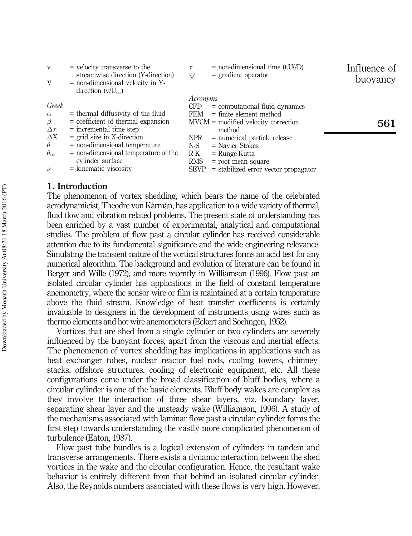| V<br>V                                                                                                       | $=$ velocity transverse to the<br>streamwise direction (Y-direction)<br>$=$ non-dimensional velocity in Y-<br>direction $(v/U_{\infty})$                                                                                                                              | $\tau$<br>$\bigtriangledown$                                                       | $=$ non-dimensional time (t.U(/D)<br>$=$ gradient operator                                                                                                                                                                                                   | Influence of<br>buoyancy |
|--------------------------------------------------------------------------------------------------------------|-----------------------------------------------------------------------------------------------------------------------------------------------------------------------------------------------------------------------------------------------------------------------|------------------------------------------------------------------------------------|--------------------------------------------------------------------------------------------------------------------------------------------------------------------------------------------------------------------------------------------------------------|--------------------------|
| Greek<br>$\alpha$<br>β<br>$\Delta \tau$<br>$\Delta X$<br>$\theta$<br>$\theta_{\infty}$<br>$\boldsymbol{\nu}$ | $=$ thermal diffusivity of the fluid<br>$=$ coefficient of thermal expansion<br>$=$ incremental time step<br>$=$ grid size in X-direction<br>$=$ non-dimensional temperature<br>$=$ non-dimensional temperature of the<br>cylinder surface<br>$=$ kinematic viscosity | Acronyms<br><b>CFD</b><br>FEM<br>NPR.<br>N-S<br>$R-K$<br><b>RMS</b><br><b>SEVP</b> | $=$ computational fluid dynamics<br>$=$ finite element method<br>$MVCM =$ modified velocity correction<br>method<br>$=$ numerical particle release<br>$=$ Navier Stokes<br>$=$ Runge-Kutta<br>$=$ root mean square<br>$=$ stabilized error vector propagator | 561                      |

#### 1. Introduction

The phenomenon of vortex shedding, which bears the name of the celebrated aerodynamicist, Theodre von Kármán, has application to a wide variety of thermal, fluid flow and vibration related problems. The present state of understanding has been enriched by a vast number of experimental, analytical and computational studies. The problem of flow past a circular cylinder has received considerable attention due to its fundamental significance and the wide engineering relevance. Simulating the transient nature of the vortical structures forms an acid test for any numerical algorithm. The background and evolution of literature can be found in Berger and Wille (1972), and more recently in Williamson (1996). Flow past an isolated circular cylinder has applications in the field of constant temperature anemometry, where the sensor wire or film is maintained at a certain temperature above the fluid stream. Knowledge of heat transfer coefficients is certainly invaluable to designers in the development of instruments using wires such as thermo elements and hot wire anemometers (Eckert and Soehngen, 1952).

Vortices that are shed from a single cylinder or two cylinders are severely influenced by the buoyant forces, apart from the viscous and inertial effects. The phenomenon of vortex shedding has implications in applications such as heat exchanger tubes, nuclear reactor fuel rods, cooling towers, chimneystacks, offshore structures, cooling of electronic equipment, etc. All these configurations come under the broad classification of bluff bodies, where a circular cylinder is one of the basic elements. Bluff body wakes are complex as they involve the interaction of three shear layers, viz. boundary layer, separating shear layer and the unsteady wake (Williamson, 1996). A study of the mechanisms associated with laminar flow past a circular cylinder forms the first step towards understanding the vastly more complicated phenomenon of turbulence (Eaton, 1987).

Flow past tube bundles is a logical extension of cylinders in tandem and transverse arrangements. There exists a dynamic interaction between the shed vortices in the wake and the circular configuration. Hence, the resultant wake behavior is entirely different from that behind an isolated circular cylinder. Also, the Reynolds numbers associated with these flows is very high. However,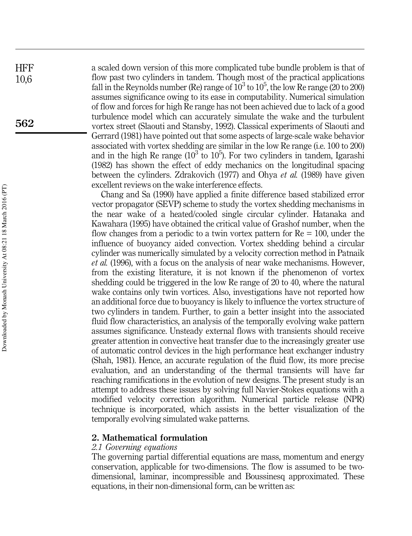a scaled down version of this more complicated tube bundle problem is that of flow past two cylinders in tandem. Though most of the practical applications fall in the Reynolds number (Re) range of  $10^3$  to  $10^5$ , the low Re range (20 to 200) assumes significance owing to its ease in computability. Numerical simulation of flow and forces for high Re range has not been achieved due to lack of a good turbulence model which can accurately simulate the wake and the turbulent vortex street (Slaouti and Stansby, 1992). Classical experiments of Slaouti and Gerrard (1981) have pointed out that some aspects of large-scale wake behavior associated with vortex shedding are similar in the low Re range (i.e. 100 to 200) and in the high Re range ( $10^3$  to  $10^5$ ). For two cylinders in tandem, Igarashi (1982) has shown the effect of eddy mechanics on the longitudinal spacing between the cylinders. Zdrakovich (1977) and Ohya et al. (1989) have given excellent reviews on the wake interference effects.

Chang and Sa (1990) have applied a finite difference based stabilized error vector propagator (SEVP) scheme to study the vortex shedding mechanisms in the near wake of a heated/cooled single circular cylinder. Hatanaka and Kawahara (1995) have obtained the critical value of Grashof number, when the flow changes from a periodic to a twin vortex pattern for  $Re = 100$ , under the influence of buoyancy aided convection. Vortex shedding behind a circular cylinder was numerically simulated by a velocity correction method in Patnaik et al. (1996), with a focus on the analysis of near wake mechanisms. However, from the existing literature, it is not known if the phenomenon of vortex shedding could be triggered in the low Re range of 20 to 40, where the natural wake contains only twin vortices. Also, investigations have not reported how an additional force due to buoyancy is likely to influence the vortex structure of two cylinders in tandem. Further, to gain a better insight into the associated fluid flow characteristics, an analysis of the temporally evolving wake pattern assumes significance. Unsteady external flows with transients should receive greater attention in convective heat transfer due to the increasingly greater use of automatic control devices in the high performance heat exchanger industry (Shah, 1981). Hence, an accurate regulation of the fluid flow, its more precise evaluation, and an understanding of the thermal transients will have far reaching ramifications in the evolution of new designs. The present study is an attempt to address these issues by solving full Navier-Stokes equations with a modified velocity correction algorithm. Numerical particle release (NPR) technique is incorporated, which assists in the better visualization of the temporally evolving simulated wake patterns.

#### 2. Mathematical formulation

#### 2.1 Governing equations

The governing partial differential equations are mass, momentum and energy conservation, applicable for two-dimensions. The flow is assumed to be twodimensional, laminar, incompressible and Boussinesq approximated. These equations, in their non-dimensional form, can be written as:

**HFF** 10,6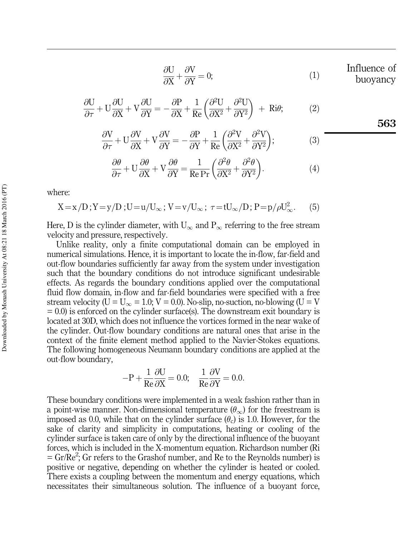$$
\frac{\partial U}{\partial X} + \frac{\partial V}{\partial Y} = 0;
$$
 Influence of buoyancy

563

$$
\frac{\partial U}{\partial \tau} + U \frac{\partial U}{\partial X} + V \frac{\partial U}{\partial Y} = -\frac{\partial P}{\partial X} + \frac{1}{Re} \left( \frac{\partial^2 U}{\partial X^2} + \frac{\partial^2 U}{\partial Y^2} \right) + Ri\theta; \tag{2}
$$

$$
\frac{\partial V}{\partial \tau} + U \frac{\partial V}{\partial X} + V \frac{\partial V}{\partial Y} = -\frac{\partial P}{\partial Y} + \frac{1}{Re} \left( \frac{\partial^2 V}{\partial X^2} + \frac{\partial^2 V}{\partial Y^2} \right);
$$
(3)

$$
\frac{\partial \theta}{\partial \tau} + U \frac{\partial \theta}{\partial X} + V \frac{\partial \theta}{\partial Y} = \frac{1}{\text{Re} \Pr} \left( \frac{\partial^2 \theta}{\partial X^2} + \frac{\partial^2 \theta}{\partial Y^2} \right).
$$
 (4)

where:

$$
X = x/D ; Y = y/D ; U = u/U_{\infty} ; V = v/U_{\infty} ; \tau = tU_{\infty}/D ; P = p/\rho U_{\infty}^{2}.
$$
 (5)

Here, D is the cylinder diameter, with  $U_{\infty}$  and  $P_{\infty}$  referring to the free stream velocity and pressure, respectively.

Unlike reality, only a finite computational domain can be employed in numerical simulations. Hence, it is important to locate the in-flow, far-field and out-flow boundaries sufficiently far away from the system under investigation such that the boundary conditions do not introduce significant undesirable effects. As regards the boundary conditions applied over the computational fluid flow domain, in-flow and far-field boundaries were specified with a free stream velocity (U =  $U_{\infty} = 1.0$ ; V = 0.0). No-slip, no-suction, no-blowing (U = V  $= 0.0$ ) is enforced on the cylinder surface(s). The downstream exit boundary is located at 30D, which does not influence the vortices formed in the near wake of the cylinder. Out-flow boundary conditions are natural ones that arise in the context of the finite element method applied to the Navier-Stokes equations. The following homogeneous Neumann boundary conditions are applied at the out-flow boundary,

$$
-P + \frac{1}{Re} \frac{\partial U}{\partial X} = 0.0; \quad \frac{1}{Re} \frac{\partial V}{\partial Y} = 0.0.
$$

These boundary conditions were implemented in a weak fashion rather than in a point-wise manner. Non-dimensional temperature  $(\theta_{\infty})$  for the freestream is imposed as 0.0, while that on the cylinder surface  $(\theta_c)$  is 1.0. However, for the sake of clarity and simplicity in computations, heating or cooling of the cylinder surface is taken care of only by the directional influence of the buoyant forces, which is included in the X-momentum equation. Richardson number (Ri  $=$  Gr/Re<sup>2</sup>; Gr refers to the Grashof number, and Re to the Reynolds number) is positive or negative, depending on whether the cylinder is heated or cooled. There exists a coupling between the momentum and energy equations, which necessitates their simultaneous solution. The influence of a buoyant force,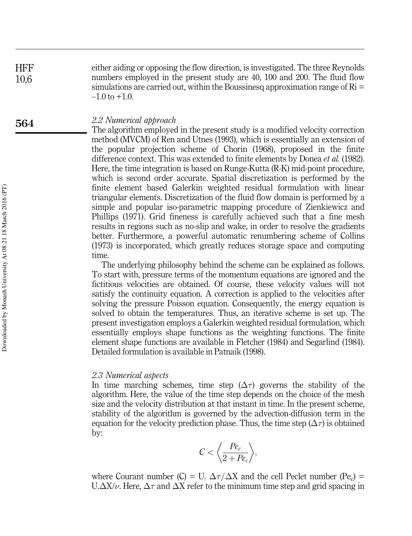**HFF** 10,6 either aiding or opposing the flow direction, is investigated. The three Reynolds numbers employed in the present study are 40, 100 and 200. The fluid flow simulations are carried out, within the Boussinesq approximation range of  $\mathrm{Ri} =$  $-1.0$  to  $+1.0$ .

#### 2.2 Numerical approach

The algorithm employed in the present study is a modified velocity correction method (MVCM) of Ren and Utnes (1993), which is essentially an extension of the popular projection scheme of Chorin (1968), proposed in the finite difference context. This was extended to finite elements by Donea *et al.* (1982). Here, the time integration is based on Runge-Kutta (R-K) mid-point procedure, which is second order accurate. Spatial discretization is performed by the finite element based Galerkin weighted residual formulation with linear triangular elements. Discretization of the fluid flow domain is performed by a simple and popular iso-parametric mapping procedure of Zienkiewicz and Phillips (1971). Grid fineness is carefully achieved such that a fine mesh results in regions such as no-slip and wake, in order to resolve the gradients better. Furthermore, a powerful automatic renumbering scheme of Collins (1973) is incorporated, which greatly reduces storage space and computing time.

The underlying philosophy behind the scheme can be explained as follows. To start with, pressure terms of the momentum equations are ignored and the fictitious velocities are obtained. Of course, these velocity values will not satisfy the continuity equation. A correction is applied to the velocities after solving the pressure Poisson equation. Consequently, the energy equation is solved to obtain the temperatures. Thus, an iterative scheme is set up. The present investigation employs a Galerkin weighted residual formulation, which essentially employs shape functions as the weighting functions. The finite element shape functions are available in Fletcher (1984) and Segarlind (1984). Detailed formulation is available in Patnaik (1998).

#### 2.3 Numerical aspects

In time marching schemes, time step  $(\Delta \tau)$  governs the stability of the algorithm. Here, the value of the time step depends on the choice of the mesh size and the velocity distribution at that instant in time. In the present scheme, stability of the algorithm is governed by the advection-diffusion term in the equation for the velocity prediction phase. Thus, the time step  $(\Delta \tau)$  is obtained by:

$$
C < \left\langle \frac{Pe_c}{2 + Pe_c} \right\rangle,
$$

where Courant number (C) = U.  $\Delta \tau / \Delta X$  and the cell Peclet number (Pe<sub>c</sub>) = U. $\Delta X/\nu$ . Here,  $\Delta \tau$  and  $\Delta X$  refer to the minimum time step and grid spacing in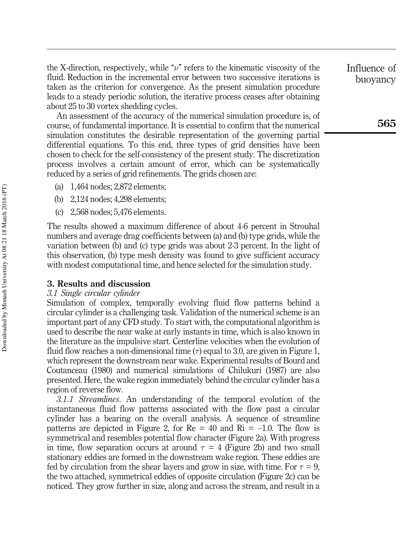the X-direction, respectively, while " $\nu$ " refers to the kinematic viscosity of the fluid. Reduction in the incremental error between two successive iterations is taken as the criterion for convergence. As the present simulation procedure leads to a steady periodic solution, the iterative process ceases after obtaining about 25 to 30 vortex shedding cycles.

An assessment of the accuracy of the numerical simulation procedure is, of course, of fundamental importance. It is essential to confirm that the numerical simulation constitutes the desirable representation of the governing partial differential equations. To this end, three types of grid densities have been chosen to check for the self-consistency of the present study. The discretization process involves a certain amount of error, which can be systematically reduced by a series of grid refinements. The grids chosen are:

- (a) 1,464 nodes; 2,872 elements;
- (b) 2,124 nodes; 4,298 elements;
- (c) 2,568 nodes; 5,476 elements.

The results showed a maximum difference of about 4-6 percent in Strouhal numbers and average drag coefficients between (a) and (b) type grids, while the variation between (b) and (c) type grids was about 2-3 percent. In the light of this observation, (b) type mesh density was found to give sufficient accuracy with modest computational time, and hence selected for the simulation study.

#### 3. Results and discussion

#### 3.1 Single circular cylinder

Simulation of complex, temporally evolving fluid flow patterns behind a circular cylinder is a challenging task. Validation of the numerical scheme is an important part of any CFD study. To start with, the computational algorithm is used to describe the near wake at early instants in time, which is also known in the literature as the impulsive start. Centerline velocities when the evolution of fluid flow reaches a non-dimensional time  $(\tau)$  equal to 3.0, are given in Figure 1, which represent the downstream near wake. Experimental results of Bourd and Coutanceau (1980) and numerical simulations of Chilukuri (1987) are also presented. Here, the wake region immediately behind the circular cylinder has a region of reverse flow.

3.1.1 Streamlines. An understanding of the temporal evolution of the instantaneous fluid flow patterns associated with the flow past a circular cylinder has a bearing on the overall analysis. A sequence of streamline patterns are depicted in Figure 2, for  $Re = 40$  and  $Ri = -1.0$ . The flow is symmetrical and resembles potential flow character (Figure 2a). With progress in time, flow separation occurs at around  $\tau = 4$  (Figure 2b) and two small stationary eddies are formed in the downstream wake region. These eddies are fed by circulation from the shear layers and grow in size, with time. For  $\tau = 9$ , the two attached, symmetrical eddies of opposite circulation (Figure 2c) can be noticed. They grow further in size, along and across the stream, and result in a Influence of buoyancy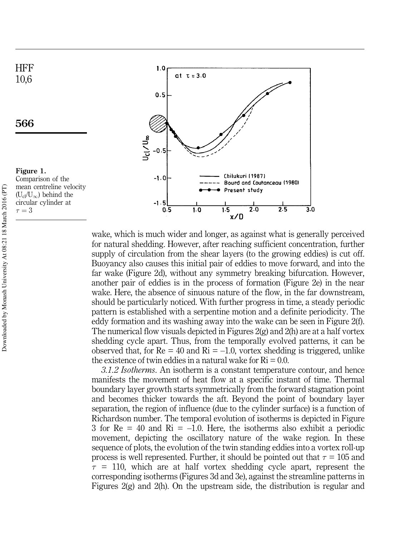

wake, which is much wider and longer, as against what is generally perceived for natural shedding. However, after reaching sufficient concentration, further supply of circulation from the shear layers (to the growing eddies) is cut off. Buoyancy also causes this initial pair of eddies to move forward, and into the far wake (Figure 2d), without any symmetry breaking bifurcation. However, another pair of eddies is in the process of formation (Figure 2e) in the near wake. Here, the absence of sinuous nature of the flow, in the far downstream, should be particularly noticed. With further progress in time, a steady periodic pattern is established with a serpentine motion and a definite periodicity. The eddy formation and its washing away into the wake can be seen in Figure 2(f). The numerical flow visuals depicted in Figures 2(g) and 2(h) are at a half vortex shedding cycle apart. Thus, from the temporally evolved patterns, it can be observed that, for  $Re = 40$  and  $Ri = -1.0$ , vortex shedding is triggered, unlike the existence of twin eddies in a natural wake for  $\text{Ri} = 0.0$ .

3.1.2 Isotherms. An isotherm is a constant temperature contour, and hence manifests the movement of heat flow at a specific instant of time. Thermal boundary layer growth starts symmetrically from the forward stagnation point and becomes thicker towards the aft. Beyond the point of boundary layer separation, the region of influence (due to the cylinder surface) is a function of Richardson number. The temporal evolution of isotherms is depicted in Figure 3 for  $Re = 40$  and  $Ri = -1.0$ . Here, the isotherms also exhibit a periodic movement, depicting the oscillatory nature of the wake region. In these sequence of plots, the evolution of the twin standing eddies into a vortex roll-up process is well represented. Further, it should be pointed out that  $\tau = 105$  and  $\tau$  = 110, which are at half vortex shedding cycle apart, represent the corresponding isotherms (Figures 3d and 3e), against the streamline patterns in Figures 2(g) and 2(h). On the upstream side, the distribution is regular and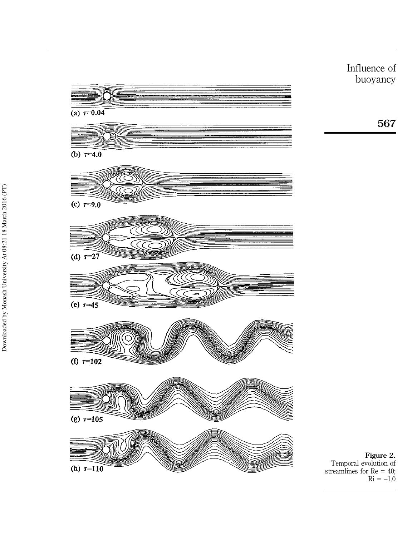

Influence of buoyancy

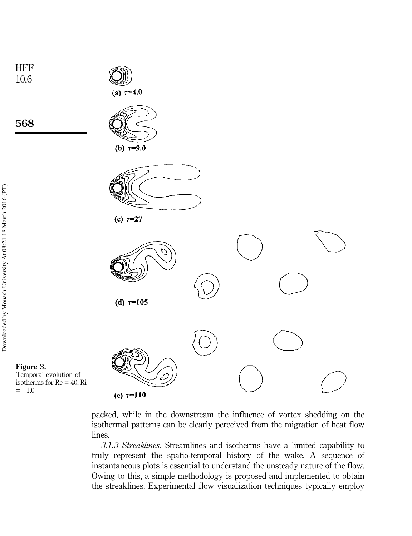

packed, while in the downstream the influence of vortex shedding on the isothermal patterns can be clearly perceived from the migration of heat flow lines.

3.1.3 Streaklines. Streamlines and isotherms have a limited capability to truly represent the spatio-temporal history of the wake. A sequence of instantaneous plots is essential to understand the unsteady nature of the flow. Owing to this, a simple methodology is proposed and implemented to obtain the streaklines. Experimental flow visualization techniques typically employ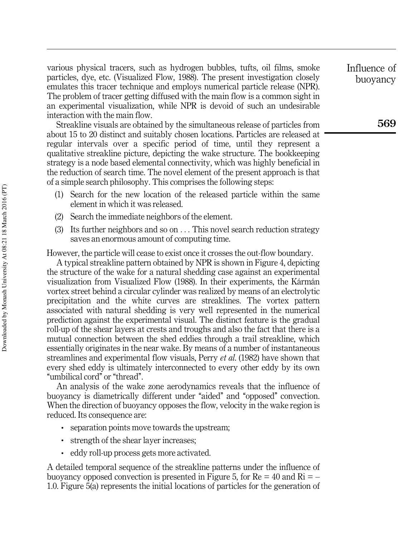various physical tracers, such as hydrogen bubbles, tufts, oil films, smoke particles, dye, etc. (Visualized Flow, 1988). The present investigation closely emulates this tracer technique and employs numerical particle release (NPR). The problem of tracer getting diffused with the main flow is a common sight in an experimental visualization, while NPR is devoid of such an undesirable interaction with the main flow.

Streakline visuals are obtained by the simultaneous release of particles from about 15 to 20 distinct and suitably chosen locations. Particles are released at regular intervals over a specific period of time, until they represent a qualitative streakline picture, depicting the wake structure. The bookkeeping strategy is a node based elemental connectivity, which was highly beneficial in the reduction of search time. The novel element of the present approach is that of a simple search philosophy. This comprises the following steps:

- (1) Search for the new location of the released particle within the same element in which it was released.
- (2) Search the immediate neighbors of the element.
- (3) Its further neighbors and so on . . . This novel search reduction strategy saves an enormous amount of computing time.

However, the particle will cease to exist once it crosses the out-flow boundary.

A typical streakline pattern obtained by NPR is shown in Figure 4, depicting the structure of the wake for a natural shedding case against an experimental visualization from Visualized Flow (1988). In their experiments, the Kármán vortex street behind a circular cylinder was realized by means of an electrolytic precipitation and the white curves are streaklines. The vortex pattern associated with natural shedding is very well represented in the numerical prediction against the experimental visual. The distinct feature is the gradual roll-up of the shear layers at crests and troughs and also the fact that there is a mutual connection between the shed eddies through a trail streakline, which essentially originates in the near wake. By means of a number of instantaneous streamlines and experimental flow visuals, Perry *et al.* (1982) have shown that every shed eddy is ultimately interconnected to every other eddy by its own ``umbilical cord'' or ``thread''.

An analysis of the wake zone aerodynamics reveals that the influence of buoyancy is diametrically different under "aided" and "opposed" convection. When the direction of buoyancy opposes the flow, velocity in the wake region is reduced. Its consequence are:

- . separation points move towards the upstream;
- . strength of the shear layer increases;
- . eddy roll-up process gets more activated.

A detailed temporal sequence of the streakline patterns under the influence of buoyancy opposed convection is presented in Figure 5, for  $Re = 40$  and  $Ri = -$ 1.0. Figure 5(a) represents the initial locations of particles for the generation of Influence of buoyancy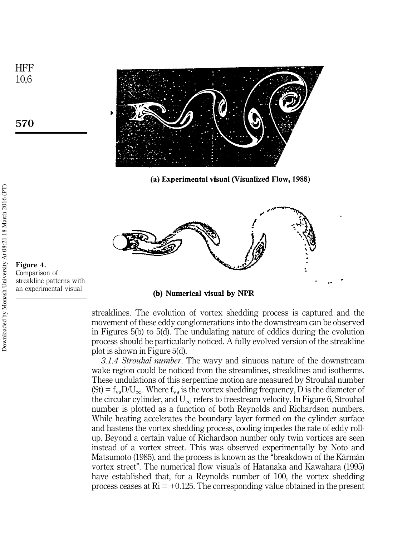

(a) Experimental visual (Visualized Flow, 1988)



Figure 4. Comparison of streakline patterns with an experimental visual

(b) Numerical visual by NPR

streaklines. The evolution of vortex shedding process is captured and the movement of these eddy conglomerations into the downstream can be observed in Figures 5(b) to 5(d). The undulating nature of eddies during the evolution process should be particularly noticed. A fully evolved version of the streakline plot is shown in Figure 5(d).

3.1.4 Strouhal number. The wavy and sinuous nature of the downstream wake region could be noticed from the streamlines, streaklines and isotherms. These undulations of this serpentine motion are measured by Strouhal number  $(St) = f_{vs}D/U_{\infty}$ . Where  $f_{vs}$  is the vortex shedding frequency, D is the diameter of the circular cylinder, and  $U_{\infty}$  refers to freestream velocity. In Figure 6, Strouhal number is plotted as a function of both Reynolds and Richardson numbers. While heating accelerates the boundary layer formed on the cylinder surface and hastens the vortex shedding process, cooling impedes the rate of eddy rollup. Beyond a certain value of Richardson number only twin vortices are seen instead of a vortex street. This was observed experimentally by Noto and Matsumoto (1985), and the process is known as the "breakdown of the Kármán vortex street''. The numerical flow visuals of Hatanaka and Kawahara (1995) have established that, for a Reynolds number of 100, the vortex shedding process ceases at  $\text{Ri} = +0.125$ . The corresponding value obtained in the present

**HFF** 10,6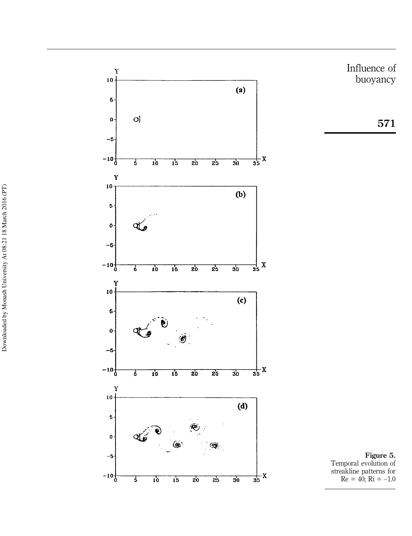



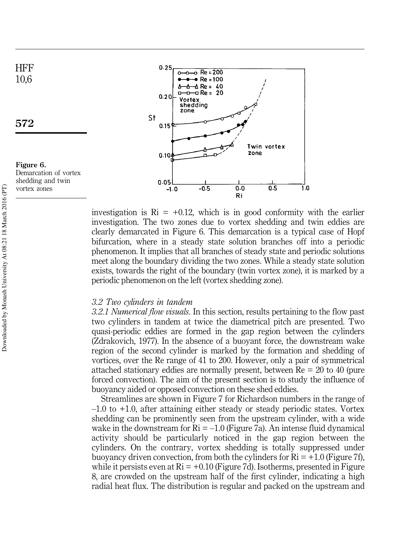

investigation is  $\text{Ri} = +0.12$ , which is in good conformity with the earlier investigation. The two zones due to vortex shedding and twin eddies are clearly demarcated in Figure 6. This demarcation is a typical case of Hopf bifurcation, where in a steady state solution branches off into a periodic phenomenon. It implies that all branches of steady state and periodic solutions meet along the boundary dividing the two zones. While a steady state solution exists, towards the right of the boundary (twin vortex zone), it is marked by a periodic phenomenon on the left (vortex shedding zone).

Ri

#### 3.2 Two cylinders in tandem

3.2.1 Numerical flow visuals. In this section, results pertaining to the flow past two cylinders in tandem at twice the diametrical pitch are presented. Two quasi-periodic eddies are formed in the gap region between the cylinders (Zdrakovich, 1977). In the absence of a buoyant force, the downstream wake region of the second cylinder is marked by the formation and shedding of vortices, over the Re range of 41 to 200. However, only a pair of symmetrical attached stationary eddies are normally present, between Re = 20 to 40 (pure forced convection). The aim of the present section is to study the influence of buoyancy aided or opposed convection on these shed eddies.

Streamlines are shown in Figure 7 for Richardson numbers in the range of  $-1.0$  to  $+1.0$ , after attaining either steady or steady periodic states. Vortex shedding can be prominently seen from the upstream cylinder, with a wide wake in the downstream for  $\text{Ri} = -1.0$  (Figure 7a). An intense fluid dynamical activity should be particularly noticed in the gap region between the cylinders. On the contrary, vortex shedding is totally suppressed under buoyancy driven convection, from both the cylinders for  $\mathrm{Ri} = +1.0$  (Figure 7f), while it persists even at  $\text{Ri} = +0.10$  (Figure 7d). Isotherms, presented in Figure 8, are crowded on the upstream half of the first cylinder, indicating a high radial heat flux. The distribution is regular and packed on the upstream and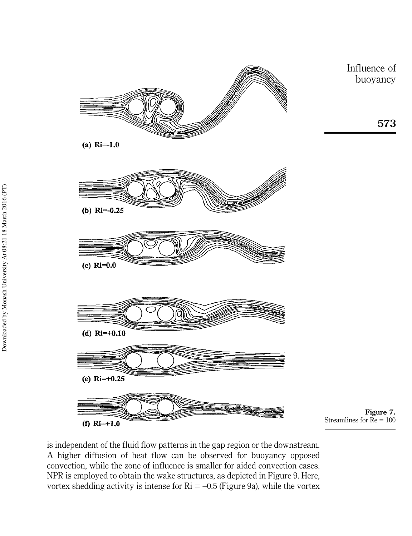

is independent of the fluid flow patterns in the gap region or the downstream. A higher diffusion of heat flow can be observed for buoyancy opposed convection, while the zone of influence is smaller for aided convection cases. NPR is employed to obtain the wake structures, as depicted in Figure 9. Here, vortex shedding activity is intense for  $\text{Ri} = -0.5$  (Figure 9a), while the vortex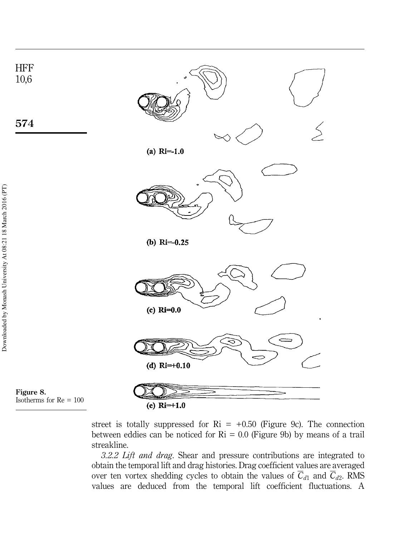

street is totally suppressed for  $\text{Ri} = +0.50$  (Figure 9c). The connection between eddies can be noticed for  $\text{Ri} = 0.0$  (Figure 9b) by means of a trail streakline.

3.2.2 Lift and drag. Shear and pressure contributions are integrated to obtain the temporal lift and drag histories. Drag coefficient values are averaged over ten vortex shedding cycles to obtain the values of  $C_{d1}$  and  $C_{d2}$ . RMS values are deduced from the temporal lift coefficient fluctuations. A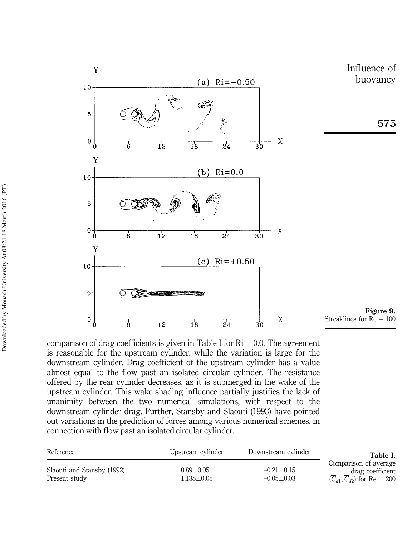

comparison of drag coefficients is given in Table I for  $\mathrm{Ri} = 0.0$ . The agreement is reasonable for the upstream cylinder, while the variation is large for the downstream cylinder. Drag coefficient of the upstream cylinder has a value almost equal to the flow past an isolated circular cylinder. The resistance offered by the rear cylinder decreases, as it is submerged in the wake of the upstream cylinder. This wake shading influence partially justifies the lack of unanimity between the two numerical simulations, with respect to the downstream cylinder drag. Further, Stansby and Slaouti (1993) have pointed out variations in the prediction of forces among various numerical schemes, in connection with flow past an isolated circular cylinder.

| Reference                                   | Upstream cylinder                 | Downstream cylinder              | Table I.                                                                     |
|---------------------------------------------|-----------------------------------|----------------------------------|------------------------------------------------------------------------------|
| Slaouti and Stansby (1992)<br>Present study | $0.89 \pm 0.05$<br>$1.138 + 0.05$ | $-0.21 + 0.15$<br>$-0.05 + 0.03$ | Comparison of average<br>drag coefficient<br>$(C_{d1}, C_{d2})$ for Re = 200 |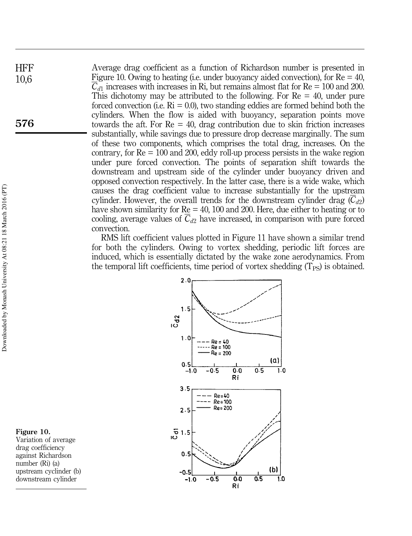Average drag coefficient as a function of Richardson number is presented in Figure 10. Owing to heating (i.e. under buoyancy aided convection), for  $Re = 40$ ,  $C_{d1}$  increases with increases in Ri, but remains almost flat for Re = 100 and 200. This dichotomy may be attributed to the following. For  $Re = 40$ , under pure forced convection (i.e.  $\text{Ri} = 0.0$ ), two standing eddies are formed behind both the cylinders. When the flow is aided with buoyancy, separation points move towards the aft. For  $Re = 40$ , drag contribution due to skin friction increases substantially, while savings due to pressure drop decrease marginally. The sum of these two components, which comprises the total drag, increases. On the contrary, for  $Re = 100$  and 200, eddy roll-up process persists in the wake region under pure forced convection. The points of separation shift towards the downstream and upstream side of the cylinder under buoyancy driven and opposed convection respectively. In the latter case, there is a wide wake, which causes the drag coefficient value to increase substantially for the upstream cylinder. However, the overall trends for the downstream cylinder drag  $(C_{d2})$ have shown similarity for Re = 40, 100 and 200. Here, due either to heating or to cooling, average values of  $\overline{C}_{d2}$  have increased, in comparison with pure forced convection.

RMS lift coefficient values plotted in Figure 11 have shown a similar trend for both the cylinders. Owing to vortex shedding, periodic lift forces are induced, which is essentially dictated by the wake zone aerodynamics. From the temporal lift coefficients, time period of vortex shedding  $(T_{PS})$  is obtained.



Figure 10. Variation of average drag coefficiency against Richardson number (Ri) (a) upstream cyclinder (b) downstream cylinder

**HFF** 10,6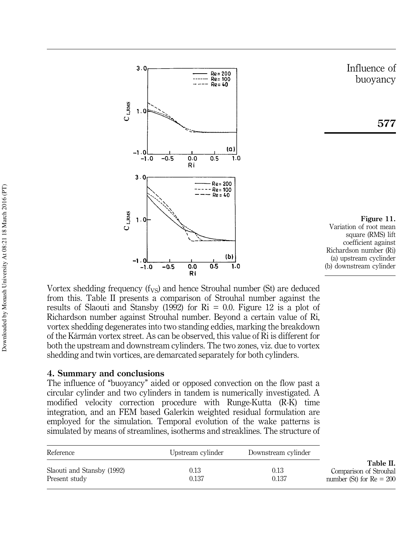

Vortex shedding frequency  $(f_{VS})$  and hence Strouhal number (St) are deduced from this. Table II presents a comparison of Strouhal number against the results of Slaouti and Stansby (1992) for  $\mathrm{Ri} = 0.0$ . Figure 12 is a plot of Richardson number against Strouhal number. Beyond a certain value of Ri, vortex shedding degenerates into two standing eddies, marking the breakdown of the Kármán vortex street. As can be observed, this value of Ri is different for both the upstream and downstream cylinders. The two zones, viz. due to vortex shedding and twin vortices, are demarcated separately for both cylinders.

#### 4. Summary and conclusions

The influence of "buoyancy" aided or opposed convection on the flow past a circular cylinder and two cylinders in tandem is numerically investigated. A modified velocity correction procedure with Runge-Kutta (R-K) time integration, and an FEM based Galerkin weighted residual formulation are employed for the simulation. Temporal evolution of the wake patterns is simulated by means of streamlines, isotherms and streaklines. The structure of

| Reference                                   | Upstream cylinder | Downstream cylinder |                                                                   |
|---------------------------------------------|-------------------|---------------------|-------------------------------------------------------------------|
| Slaouti and Stansby (1992)<br>Present study | 0.13<br>0.137     | 0.13<br>0.137       | Table II.<br>Comparison of Strouhal<br>number (St) for $Re = 200$ |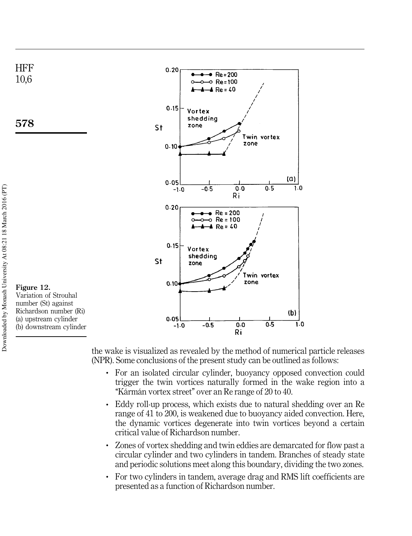

578



Figure 12. Variation of Strouhal number (St) against Richardson number (Ri) (a) upstream cylinder (b) downstream cylinder

the wake is visualized as revealed by the method of numerical particle releases (NPR). Some conclusions of the present study can be outlined as follows:

- . For an isolated circular cylinder, buoyancy opposed convection could trigger the twin vortices naturally formed in the wake region into a "Kármán vortex street" over an Re range of 20 to 40.
- . Eddy roll-up process, which exists due to natural shedding over an Re range of 41 to 200, is weakened due to buoyancy aided convection. Here, the dynamic vortices degenerate into twin vortices beyond a certain critical value of Richardson number.
- . Zones of vortex shedding and twin eddies are demarcated for flow past a circular cylinder and two cylinders in tandem. Branches of steady state and periodic solutions meet along this boundary, dividing the two zones.
- . For two cylinders in tandem, average drag and RMS lift coefficients are presented as a function of Richardson number.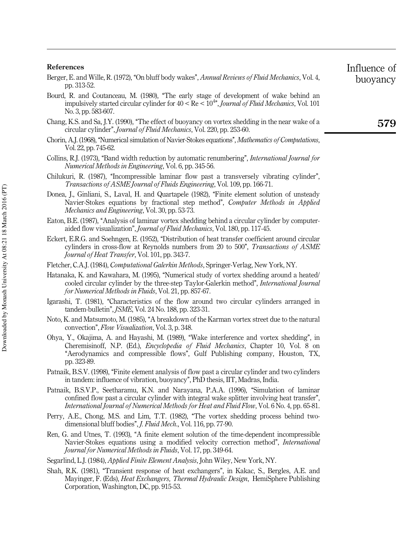|             | Berger, E. and Wille, R. (1972), "On bluff body wakes", <i>Annual Reviews of Fluid Mechanics</i> , Vol. 4, |
|-------------|------------------------------------------------------------------------------------------------------------|
| pp. 313-52. |                                                                                                            |

- Bourd, R. and Coutanceau, M. (1980), "The early stage of development of wake behind an impulsively started circular cylinder for  $40 < Re < 10^{4}$ , Journal of Fluid Mechanics, Vol. 101 No. 3, pp. 583-607.
- Chang, K.S. and Sa, J.Y. (1990), "The effect of buoyancy on vortex shedding in the near wake of a circular cylinder'', Journal of Fluid Mechanics, Vol. 220, pp. 253-60.
- Chorin, A.J. (1968), "Numerical simulation of Navier-Stokes equations", *Mathematics of Computations*, Vol. 22, pp. 745-62.
- Collins, R.J. (1973), "Band width reduction by automatic renumbering", *International Journal for* Numerical Methods in Engineering, Vol. 6, pp. 345-56.
- Chilukuri, R. (1987), "Incompressible laminar flow past a transversely vibrating cylinder", Transactions of ASME Journal of Fluids Engineering, Vol. 109, pp. 166-71.
- Donea, J., Ginliani, S., Laval, H. and Quartapele (1982), "Finite element solution of unsteady Navier-Stokes equations by fractional step method", Computer Methods in Applied Mechanics and Engineering, Vol. 30, pp. 53-73.
- Eaton, B.E. (1987), "Analysis of laminar vortex shedding behind a circular cylinder by computeraided flow visualization'', Journal of Fluid Mechanics, Vol. 180, pp. 117-45.
- Eckert, E.R.G. and Soehngen, E. (1952), "Distribution of heat transfer coefficient around circular cylinders in cross-flow at Reynolds numbers from 20 to 500", *Transactions of ASME* Journal of Heat Transfer, Vol. 101, pp. 343-7.
- Fletcher, C.A.J. (1984), Computational Galerkin Methods, Springer-Verlag, New York, NY.
- Hatanaka, K. and Kawahara, M. (1995), "Numerical study of vortex shedding around a heated/ cooled circular cylinder by the three-step Taylor-Galerkin method'', International Journal for Numerical Methods in Fluids, Vol. 21, pp. 857-67.
- Igarashi, T. (1981), "Characteristics of the flow around two circular cylinders arranged in tandem-bulletin'', JSME, Vol. 24 No. 188, pp. 323-31.
- Noto, K. and Matsumoto, M. (1985), ``A breakdown of the Karman vortex street due to the natural convection'', Flow Visualization, Vol. 3, p. 348.
- Ohya, Y., Okajima, A. and Hayashi, M. (1989), "Wake interference and vortex shedding", in Cheremisinoff, N.P. (Ed.), Encyclopedia of Fluid Mechanics, Chapter 10, Vol. 8 on ``Aerodynamics and compressible flows'', Gulf Publishing company, Houston, TX, pp. 323-89.
- Patnaik, B.S.V. (1998), "Finite element analysis of flow past a circular cylinder and two cylinders in tandem: influence of vibration, buoyancy'', PhD thesis, IIT, Madras, India.
- Patnaik, B.S.V.P., Seetharamu, K.N. and Narayana, P.A.A. (1996), "Simulation of laminar confined flow past a circular cylinder with integral wake splitter involving heat transfer'', International Journal of Numerical Methods for Heat and Fluid Flow, Vol. 6 No. 4, pp. 65-81.
- Perry, A.E., Chong, M.S. and Lim, T.T. (1982), "The vortex shedding process behind twodimensional bluff bodies", *J. Fluid Mech.*, Vol. 116, pp. 77-90.
- Ren, G. and Utnes, T. (1993), "A finite element solution of the time-dependent incompressible Navier-Stokes equations using a modified velocity correction method'', International Journal for Numerical Methods in Fluids, Vol. 17, pp. 349-64.
- Segarlind, L.J. (1984), *Applied Finite Element Analysis*, John Wiley, New York, NY.
- Shah, R.K. (1981), "Transient response of heat exchangers", in Kakac, S., Bergles, A.E. and Mayinger, F. (Eds), Heat Exchangers, Thermal Hydraulic Design, HemiSphere Publishing Corporation, Washington, DC, pp. 915-53.

579

Influence of buoyancy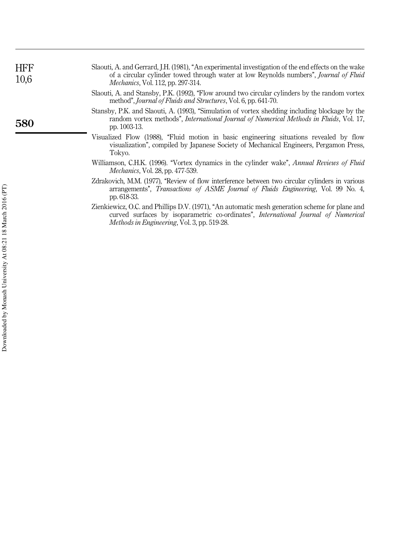| <b>HFF</b><br>10,6 | Slaouti, A. and Gerrard, J.H. (1981), "An experimental investigation of the end effects on the wake<br>of a circular cylinder towed through water at low Reynolds numbers", <i>Journal of Fluid</i><br><i>Mechanics</i> , Vol. 112, pp. 297-314.  |
|--------------------|---------------------------------------------------------------------------------------------------------------------------------------------------------------------------------------------------------------------------------------------------|
|                    | Slaouti, A. and Stansby, P.K. (1992), "Flow around two circular cylinders by the random vortex<br>method", <i>Journal of Fluids and Structures</i> , Vol. 6, pp. 641-70.                                                                          |
| 580                | Stansby, P.K. and Slaouti, A. (1993), "Simulation of vortex shedding including blockage by the<br>random vortex methods", International Journal of Numerical Methods in Fluids, Vol. 17,<br>pp. 1003-13.                                          |
|                    | Visualized Flow (1988), "Fluid motion in basic engineering situations revealed by flow<br>visualization", compiled by Japanese Society of Mechanical Engineers, Pergamon Press,<br>Tokyo.                                                         |
|                    | Williamson, C.H.K. (1996). "Vortex dynamics in the cylinder wake", Annual Reviews of Fluid<br><i>Mechanics</i> , Vol. 28, pp. 477-539.                                                                                                            |
|                    | Zdrakovich, M.M. (1977), "Review of flow interference between two circular cylinders in various<br>arrangements", Transactions of ASME Journal of Fluids Engineering, Vol. 99 No. 4,<br>pp. 618-33.                                               |
|                    | Zienkiewicz, O.C. and Phillips D.V. (1971), "An automatic mesh generation scheme for plane and<br>curved surfaces by isoparametric co-ordinates", <i>International Journal of Numerical</i><br><i>Methods in Engineering, Vol. 3, pp. 519-28.</i> |